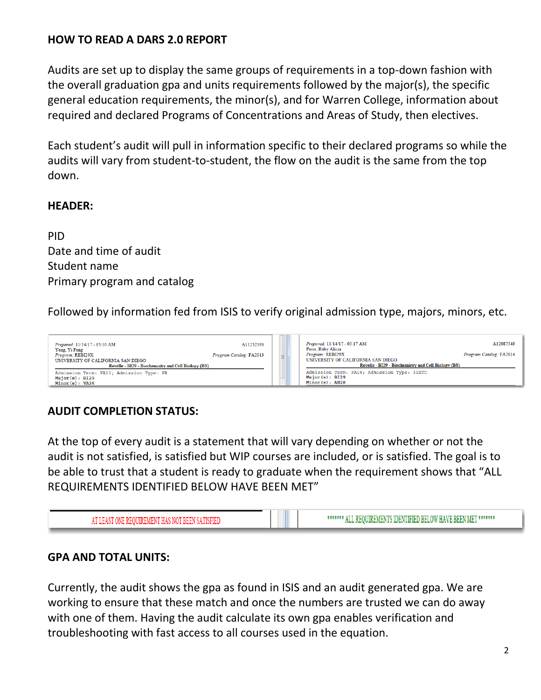## **HOW TO READ A DARS 2.0 REPORT**

Audits are set up to display the same groups of requirements in a top-down fashion with the overall graduation gpa and units requirements followed by the major(s), the specific general education requirements, the minor(s), and for Warren College, information about required and declared Programs of Concentrations and Areas of Study, then electives.

Each student's audit will pull in information specific to their declared programs so while the audits will vary from student-to-student, the flow on the audit is the same from the top down.

#### **HEADER:**

PID Date and time of audit Student name Primary program and catalog

Followed by information fed from ISIS to verify original admission type, majors, minors, etc.



### **AUDIT COMPLETION STATUS:**

At the top of every audit is a statement that will vary depending on whether or not the audit is not satisfied, is satisfied but WIP courses are included, or is satisfied. The goal is to be able to trust that a student is ready to graduate when the requirement shows that "ALL REQUIREMENTS IDENTIFIED BELOW HAVE BEEN MET"



### **GPA AND TOTAL UNITS:**

Currently, the audit shows the gpa as found in ISIS and an audit generated gpa. We are working to ensure that these match and once the numbers are trusted we can do away with one of them. Having the audit calculate its own gpa enables verification and troubleshooting with fast access to all courses used in the equation.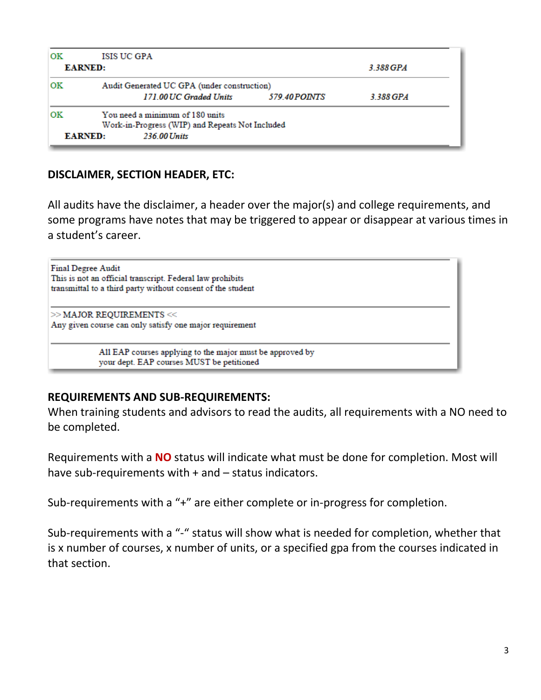| <b>OK</b> | ISIS UC GPA                                     |               |           |  |  |  |  |
|-----------|-------------------------------------------------|---------------|-----------|--|--|--|--|
|           | <b>EARNED:</b>                                  | 3.388 GPA     |           |  |  |  |  |
| OК        | Audit Generated UC GPA (under construction)     |               |           |  |  |  |  |
|           | 171.00 UC Graded Units                          | 579.40 POINTS | 3.388 GPA |  |  |  |  |
| OК        | You need a minimum of 180 units                 |               |           |  |  |  |  |
|           | Work-in-Progress (WIP) and Repeats Not Included |               |           |  |  |  |  |
|           | <b>EARNED:</b><br>236.00 Units                  |               |           |  |  |  |  |

### **DISCLAIMER, SECTION HEADER, ETC:**

All audits have the disclaimer, a header over the major(s) and college requirements, and some programs have notes that may be triggered to appear or disappear at various times in a student's career.

**Final Degree Audit** This is not an official transcript. Federal law prohibits transmittal to a third party without consent of the student  $>>$  MAJOR REQUIREMENTS  $<<$ Any given course can only satisfy one major requirement All EAP courses applying to the major must be approved by your dept. EAP courses MUST be petitioned

### **REQUIREMENTS AND SUB-REQUIREMENTS:**

When training students and advisors to read the audits, all requirements with a NO need to be completed.

Requirements with a **NO** status will indicate what must be done for completion. Most will have sub-requirements with + and – status indicators.

Sub-requirements with a "+" are either complete or in-progress for completion.

Sub-requirements with a "-" status will show what is needed for completion, whether that is x number of courses, x number of units, or a specified gpa from the courses indicated in that section.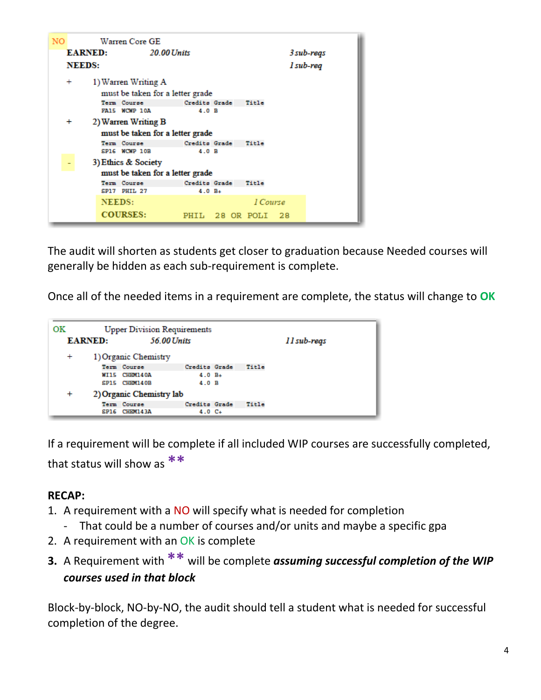

The audit will shorten as students get closer to graduation because Needed courses will generally be hidden as each sub-requirement is complete.

Once all of the needed items in a requirement are complete, the status will change to **OK**

| OК        |                | <b>Upper Division Requirements</b> |               |  |       |             |
|-----------|----------------|------------------------------------|---------------|--|-------|-------------|
|           | <b>EARNED:</b> |                                    | 56.00 Units   |  |       | 11 sub-reqs |
| $\ddot{}$ |                | 1) Organic Chemistry               |               |  |       |             |
|           |                | Term Course                        | Credits Grade |  | Title |             |
|           |                | WI15 CHEM140A                      | $4.0 B+$      |  |       |             |
|           |                | SP15 CHEM140B                      | 4 0 B         |  |       |             |
| $\pmb{+}$ |                | 2) Organic Chemistry lab           |               |  |       |             |
|           |                | Term Course                        | Credits Grade |  | Title |             |
|           |                | SP16 CHEM143A                      | $4.0 C+$      |  |       |             |

If a requirement will be complete if all included WIP courses are successfully completed, that status will show as **\*\***

# **RECAP:**

- 1. A requirement with a NO will specify what is needed for completion
	- That could be a number of courses and/or units and maybe a specific gpa
- 2. A requirement with an OK is complete
- **3.** A Requirement with **\*\*** will be complete *assuming successful completion of the WIP courses used in that block*

Block-by-block, NO-by-NO, the audit should tell a student what is needed for successful completion of the degree.